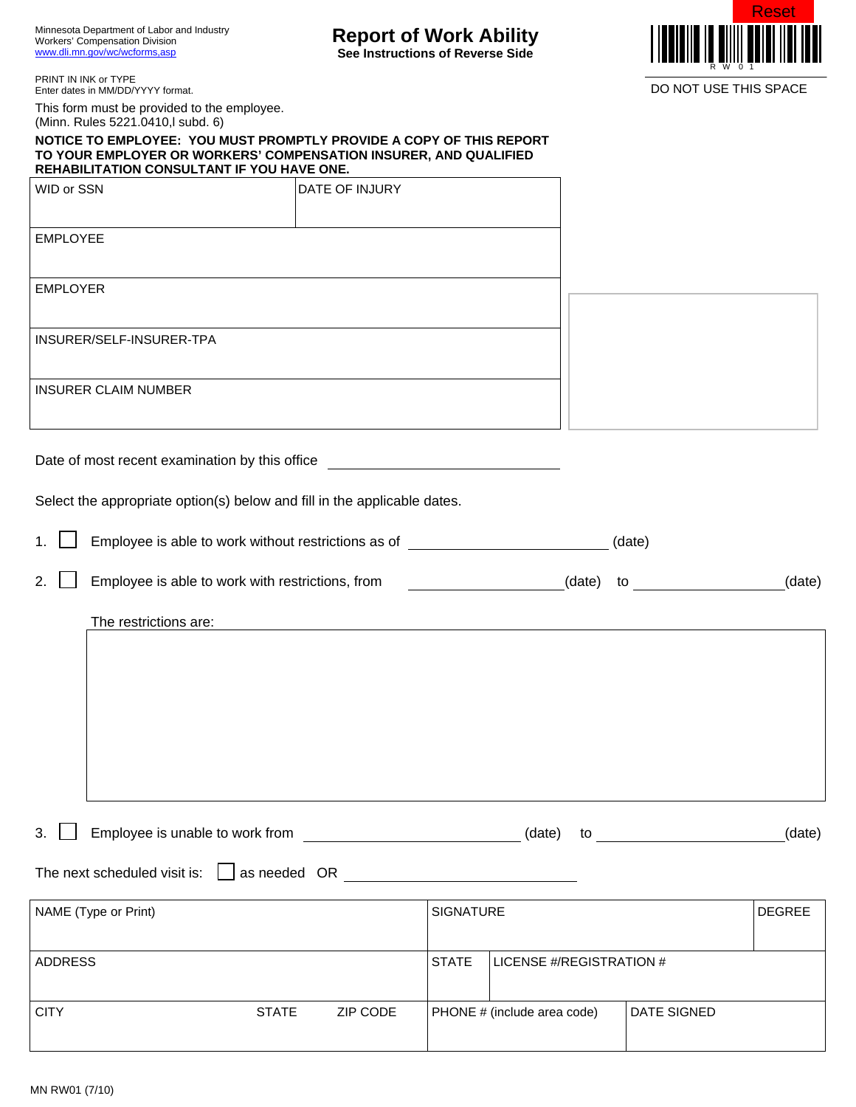Minnesota Department of Labor and Industry Workers' Compensation Division www.dli.mn.gov/wc/wcforms,asp

## **Report of Work Ability**

**See Instructions of Reverse Side** 



PRINT IN INK or TYPE Enter dates in MM/DD/YYYY format.

This form must be provided to the employee. (Minn. Rules 5221.0410,l subd. 6)

**NOTICE TO EMPLOYEE: YOU MUST PROMPTLY PROVIDE A COPY OF THIS REPORT TO YOUR EMPLOYER OR WORKERS' COMPENSATION INSURER, AND QUALIFIED REHABILITATION CONSULTANT IF YOU HAVE ONE.** 

| WID or SSN                                     | DATE OF INJURY |  |
|------------------------------------------------|----------------|--|
|                                                |                |  |
| <b>EMPLOYEE</b>                                |                |  |
|                                                |                |  |
| <b>EMPLOYER</b>                                |                |  |
|                                                |                |  |
| INSURER/SELF-INSURER-TPA                       |                |  |
|                                                |                |  |
| <b>INSURER CLAIM NUMBER</b>                    |                |  |
|                                                |                |  |
|                                                |                |  |
| Date of most recent examination by this office |                |  |

Select the appropriate option(s) below and fill in the applicable dates.

|  | Employee is able to work without restrictions as of |  |
|--|-----------------------------------------------------|--|
|  |                                                     |  |

2.  $\Box$  Employee is able to work with restrictions, from  $\Box$  (date) (date) to (date) (date)

The restrictions are:

3. Employee is unable to work from \_\_\_\_\_\_\_\_\_\_\_\_\_\_\_\_\_\_\_\_\_\_\_\_\_\_\_\_\_(date) to \_\_\_\_\_\_\_\_\_\_\_\_\_\_\_\_\_\_\_\_(date)

The next scheduled visit is:  $\Box$  as needed OR  $\Box$ 

| NAME (Type or Print) |              |          | <b>SIGNATURE</b> |                                    |                      | <b>DEGREE</b> |
|----------------------|--------------|----------|------------------|------------------------------------|----------------------|---------------|
| <b>ADDRESS</b>       |              |          | <b>ISTATE</b>    | LICENSE #/REGISTRATION #           |                      |               |
| <b>CITY</b>          | <b>STATE</b> | ZIP CODE |                  | <b>PHONE</b> # (include area code) | <b>I DATE SIGNED</b> |               |